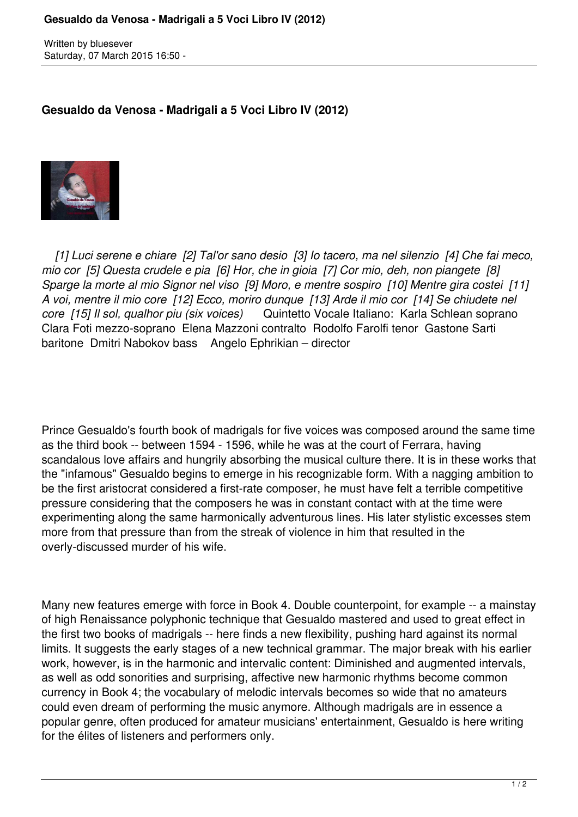Written by bluesever Saturday, 07 March 2015 16:50 -

## **Gesualdo da Venosa - Madrigali a 5 Voci Libro IV (2012)**



 *[1] Luci serene e chiare [2] Tal'or sano desio [3] Io tacero, ma nel silenzio [4] Che fai meco, mio cor [5] Questa crudele e pia [6] Hor, che in gioia [7] Cor mio, deh, non piangete [8] Sparge la morte al mio Signor nel viso [9] Moro, e mentre sospiro [10] Mentre gira costei [11] A voi, mentre il mio core [12] Ecco, moriro dunque [13] Arde il mio cor [14] Se chiudete nel core [15] Il sol, qualhor piu (six voices)* Quintetto Vocale Italiano: Karla Schlean soprano Clara Foti mezzo-soprano Elena Mazzoni contralto Rodolfo Farolfi tenor Gastone Sarti baritone Dmitri Nabokov bass Angelo Ephrikian – director

Prince Gesualdo's fourth book of madrigals for five voices was composed around the same time as the third book -- between 1594 - 1596, while he was at the court of Ferrara, having scandalous love affairs and hungrily absorbing the musical culture there. It is in these works that the "infamous" Gesualdo begins to emerge in his recognizable form. With a nagging ambition to be the first aristocrat considered a first-rate composer, he must have felt a terrible competitive pressure considering that the composers he was in constant contact with at the time were experimenting along the same harmonically adventurous lines. His later stylistic excesses stem more from that pressure than from the streak of violence in him that resulted in the overly-discussed murder of his wife.

Many new features emerge with force in Book 4. Double counterpoint, for example -- a mainstay of high Renaissance polyphonic technique that Gesualdo mastered and used to great effect in the first two books of madrigals -- here finds a new flexibility, pushing hard against its normal limits. It suggests the early stages of a new technical grammar. The major break with his earlier work, however, is in the harmonic and intervalic content: Diminished and augmented intervals, as well as odd sonorities and surprising, affective new harmonic rhythms become common currency in Book 4; the vocabulary of melodic intervals becomes so wide that no amateurs could even dream of performing the music anymore. Although madrigals are in essence a popular genre, often produced for amateur musicians' entertainment, Gesualdo is here writing for the élites of listeners and performers only.